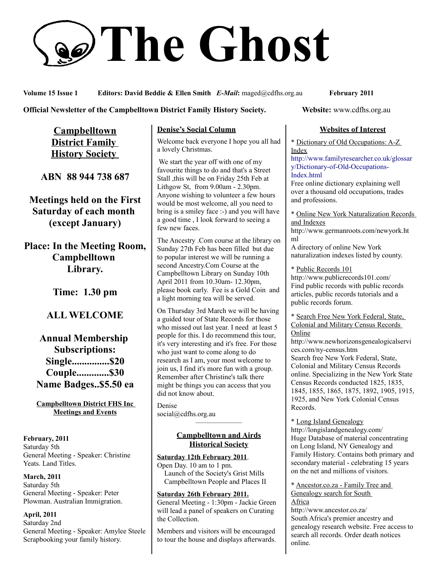# **The Ghost**

**Volume 15 Issue 1 Editors: David Beddie & Ellen Smith** *E-Mail***:** maged@cdfhs.org.au **February 2011**

#### **Official Newsletter of the Campbelltown District Family History Society. Website: www.cdfhs.org.au**

**Campbelltown District Family History Society** 

**ABN 88 944 738 687**

**Meetings held on the First Saturday of each month (except January)**

**Place: In the Meeting Room, Campbelltown Library.**

**Time: 1.30 pm**

# **ALL WELCOME**

# **Annual Membership Subscriptions: Single...............\$20 Couple.............\$30 Name Badges..\$5.50 ea**

**Campbelltown District FHS Inc Meetings and Events**

**February, 2011** Saturday 5th General Meeting - Speaker: Christine Yeats. Land Titles.

#### **March, 2011**

Saturday 5th General Meeting - Speaker: Peter Plowman. Australian Immigration.

#### **April, 2011**

Saturday 2nd General Meeting - Speaker: Amylee Steele Scrapbooking your family history.

#### **Denise's Social Column**

Welcome back everyone I hope you all had a lovely Christmas.

 We start the year off with one of my favourite things to do and that's a Street Stall ,this will be on Friday 25th Feb at Lithgow St, from 9.00am - 2.30pm. Anyone wishing to volunteer a few hours would be most welcome, all you need to bring is a smiley face :-) and you will have a good time , I look forward to seeing a few new faces.

The Ancestry .Com course at the library on Sunday 27th Feb has been filled but due to popular interest we will be running a second Ancestry.Com Course at the Campbelltown Library on Sunday 10th April 2011 from 10.30am- 12.30pm, please book early. Fee is a Gold Coin and a light morning tea will be served.

On Thursday 3rd March we will be having a guided tour of State Records for those who missed out last year. I need at least 5 people for this. I do recommend this tour, it's very interesting and it's free. For those who just want to come along to do research as I am, your most welcome to join us, I find it's more fun with a group. Remember after Christine's talk there might be things you can access that you did not know about.

Denise social@cdfhs.org.au

#### **Campbelltown and Airds Historical Society**

——————–

**Saturday 12th February 2011**. Open Day. 10 am to 1 pm. Launch of the Society's Grist Mills Campbelltown People and Places II

#### **Saturday 26th February 2011.**

General Meeting - 1:30pm - Jackie Green will lead a panel of speakers on Curating the Collection.

Members and visitors will be encouraged to tour the house and displays afterwards.

#### **Websites of Interest**

\* Dictionary of Old Occupations: A-Z Index

[http://www.familyresearcher.co.uk/glossar](http://www.familyresearcher.co.uk/glossary/Dictionary-of-Old-Occupations-Index.html) [y/Dictionary-of-Old-Occupations-](http://www.familyresearcher.co.uk/glossary/Dictionary-of-Old-Occupations-Index.html)[Index.html](http://www.familyresearcher.co.uk/glossary/Dictionary-of-Old-Occupations-Index.html)

Free online dictionary explaining well over a thousand old occupations, trades and professions.

\* Online New York Naturalization Records and Indexes

http://www.germanroots.com/newyork.ht ml

A directory of online New York naturalization indexes listed by county.

#### \* Public Records 101

http://www.publicrecords101.com/ Find public records with public records articles, public records tutorials and a public records forum.

\* Search Free New York Federal, State, Colonial and Military Census Records Online

http://www.newhorizonsgenealogicalservi ces.com/ny-census.htm Search free New York Federal, State, Colonial and Military Census Records online. Specializing in the New York State Census Records conducted 1825, 1835, 1845, 1855, 1865, 1875, 1892, 1905, 1915, 1925, and New York Colonial Census Records.

\* Long Island Genealogy http://longislandgenealogy.com/ Huge Database of material concentrating on Long Island, NY Genealogy and Family History. Contains both primary and secondary material - celebrating 15 years on the net and millions of visitors.

\* Ancestor.co.za - Family Tree and Genealogy search for South

Africa

http://www.ancestor.co.za/ South Africa's premier ancestry and genealogy research website. Free access to search all records. Order death notices online.